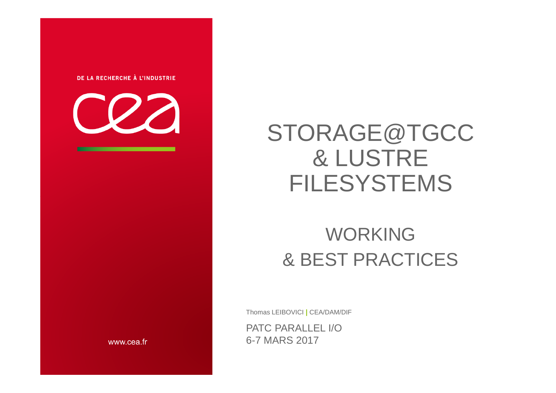



## STORAGE@TGCC& LUSTRE FILESYSTEMS

### WORKING& BEST PRACTICES

Thomas LEIBOVICI **|** CEA/DAM/DIF

PATC PARALLEL I/O6-7 MARS 2017

www.cea.fr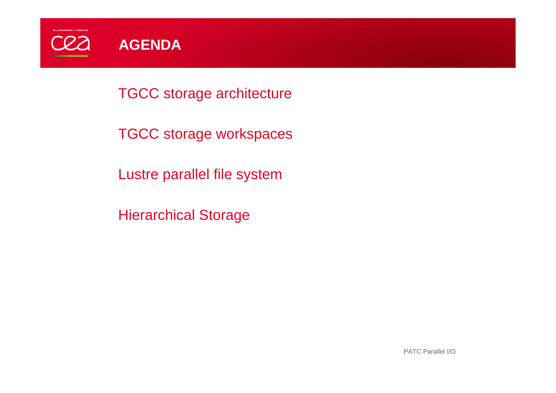

TGCC storage architecture

TGCC storage workspaces

Lustre parallel file system

Hierarchical Storage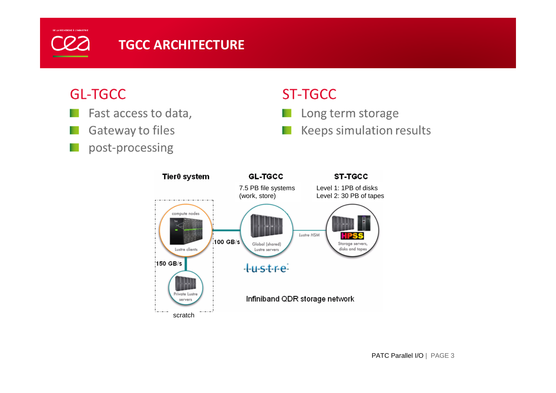## **COZ**

#### **TGCC ARCHITECTURE**

#### **GL-TGCC**

- Fast access to data,
- Gateway to files
- post-processing

### **ST-TGCC**

- Long term storage m.
- Keeps simulation results ш

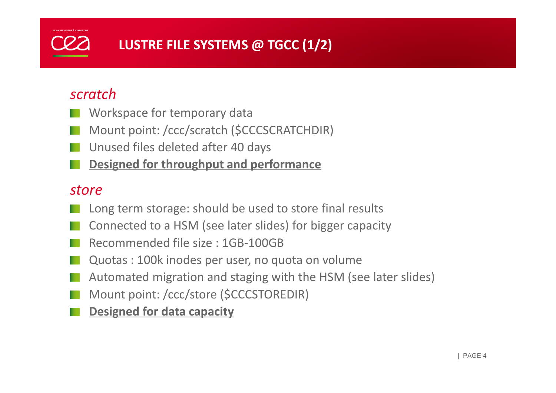### **LUSTRE FILE SYSTEMS @ TGCC (1/2)**

#### *scratch*

- Workspace for temporary data
- Mount point: /ccc/scratch (\$CCCSCRATCHDIR)
- Unused files deleted after 40 days
- **Designed for throughput and performance**

#### *store*

- Long term storage: should be used to store final results
- Connected to a HSM (see later slides) for bigger capacity
- Recommended file size : 1GB-100GB
- Quotas : 100k inodes per user, no quota on volume
- Automated migration and staging with the HSM (see later slides)
- Mount point: /ccc/store (\$CCCSTOREDIR)
- **Designed for data capacity**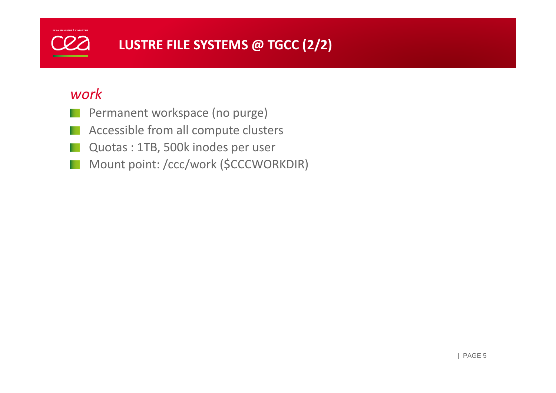### **LUSTRE FILE SYSTEMS @ TGCC (2/2)**

#### *work*

- Permanent workspace (no purge)
- Accessible from all compute clusters
- Quotas : 1TB, 500k inodes per user
- Mount point: /ccc/work (\$CCCWORKDIR)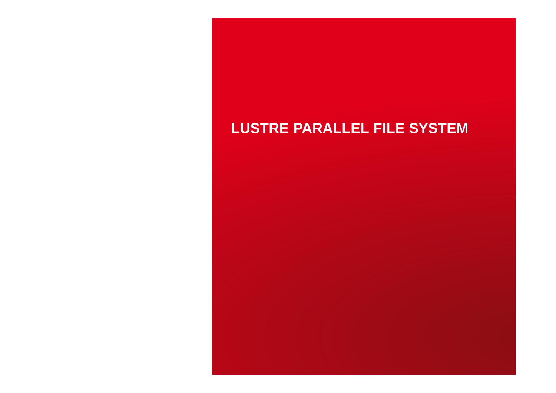#### **LUSTRE PARALLEL FILE SYSTEM**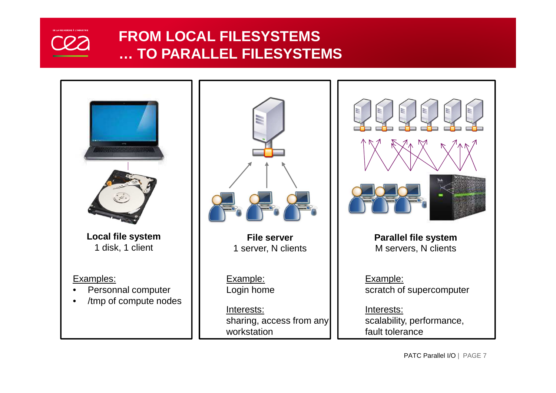

#### **FROM LOCAL FILESYSTEMS … TO PARALLEL FILESYSTEMS**





**File server**1 server, N clients

Example:Login home

Interests: sharing, access from anyworkstation



**Parallel file system**M servers, N clients

Example:scratch of supercomputer

Interests: scalability, performance,fault tolerance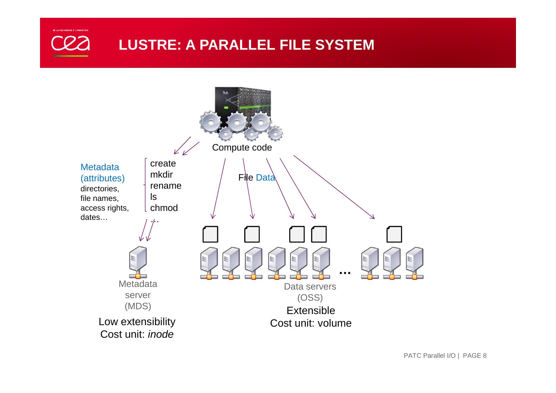

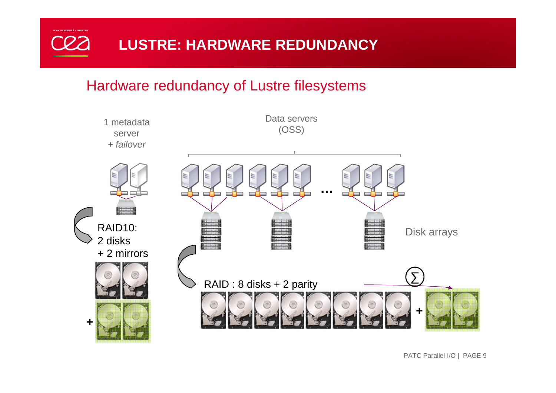

#### Hardware redundancy of Lustre filesystems



PATC Parallel I/O | PAGE 9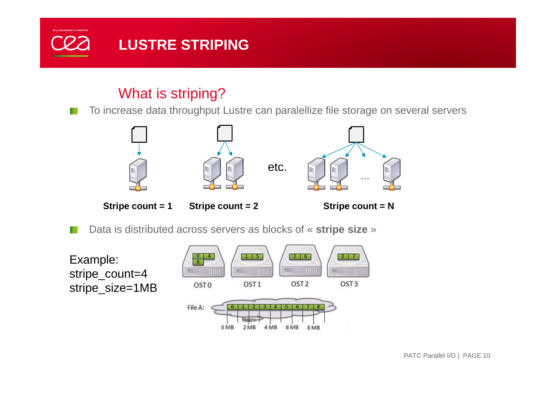

#### What is striping?

To increase data throughput Lustre can paralellize file storage on several servers



**Stripe count = 1 Stripe count = 2**

**Stripe count = N**

Data is distributed across servers as blocks of « **stripe size** »

Example: stripe\_count=4stripe\_size=1MB

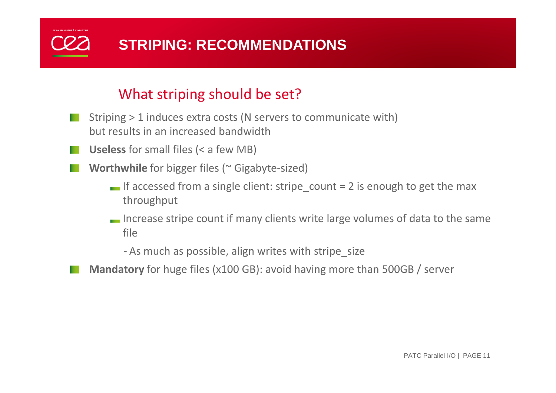## **STRIPING: RECOMMENDATIONS**

#### What striping should be set?

- Striping > 1 induces extra costs (N servers to communicate with) but results in an increased bandwidth
	- **Useless** for small files (< a few MB)
	- **Worthwhile** for bigger files (~ Gigabyte-sized)
		- If accessed from a single client: stripe count  $= 2$  is enough to get the max throughput
		- Increase stripe count if many clients write large volumes of data to the same file

- As much as possible, align writes with stripe\_size

**Mandatory** for huge files (x100 GB): avoid having more than 500GB / server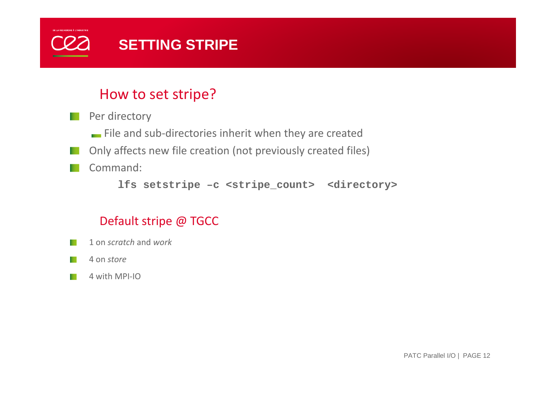

#### How to set stripe?

Per directory

File and sub-directories inherit when they are created

- Only affects new file creation (not previously created files)
- Command:

**lfs setstripe –c <stripe\_count> <directory>**

#### Default stripe @ TGCC

1 on *scratch* and *work*

4 on *store*

4 with MPI-IO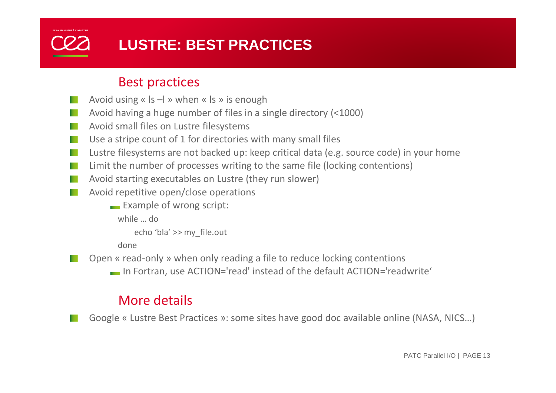## **LUSTRE: BEST PRACTICES**

#### Best practices

- Avoid using «  $|s -|$  » when «  $|s \rangle$  is enough
- Avoid having a huge number of files in a single directory (<1000)
- Avoid small files on Lustre filesystems
- Use a stripe count of 1 for directories with many small files
- Lustre filesystems are not backed up: keep critical data (e.g. source code) in your home
- Limit the number of processes writing to the same file (locking contentions)
- Avoid starting executables on Lustre (they run slower)
- Avoid repetitive open/close operations
	- $\blacksquare$  Example of wrong script:

while … do

echo 'bla' >> my\_file.out

done

Open « read-only » when only reading a file to reduce locking contentions

In Fortran, use ACTION='read' instead of the default ACTION='readwrite'

#### More details

Google « Lustre Best Practices »: some sites have good doc available online (NASA, NICS…)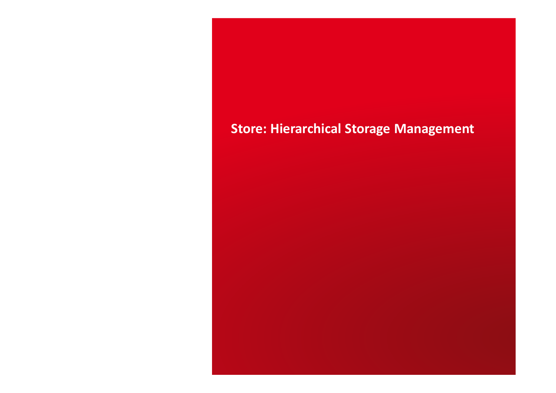#### **Store: Hierarchical Storage Management**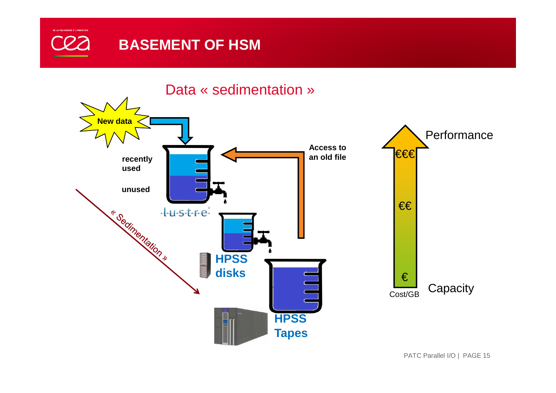

Data « sedimentation »

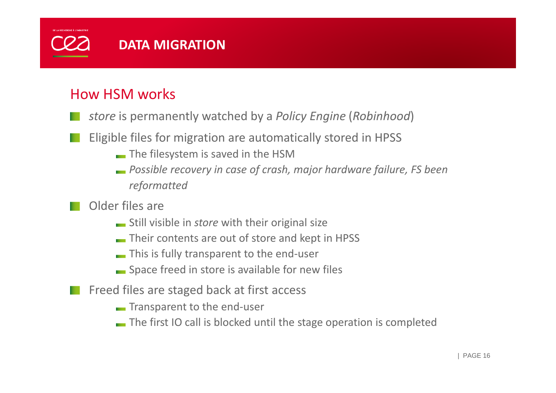

#### How HSM works

- *store* is permanently watched by a *Policy Engine* (*Robinhood*)
- Eligible files for migration are automatically stored in HPSS
	- The filesystem is saved in the HSM
	- *Possible recovery in case of crash, major hardware failure, FS been reformatted*
- Older files are
	- Still visible in *store* with their original size
	- Their contents are out of store and kept in HPSS
	- **This is fully transparent to the end-user**
	- **Space freed in store is available for new files**
- Freed files are staged back at first access
	- **Transparent to the end-user**
	- The first IO call is blocked until the stage operation is completed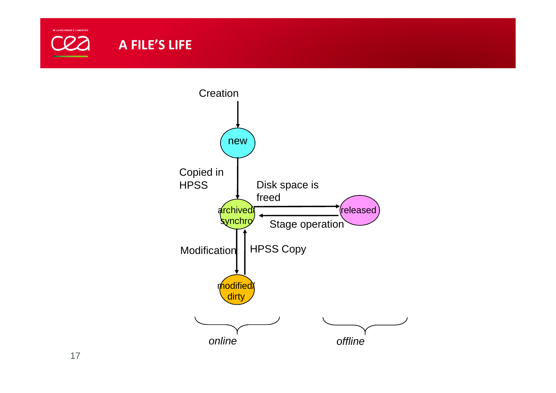

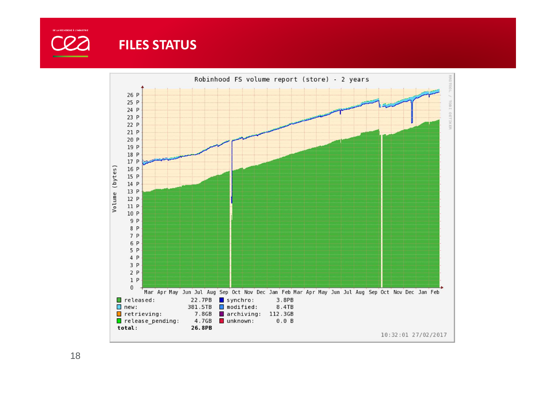

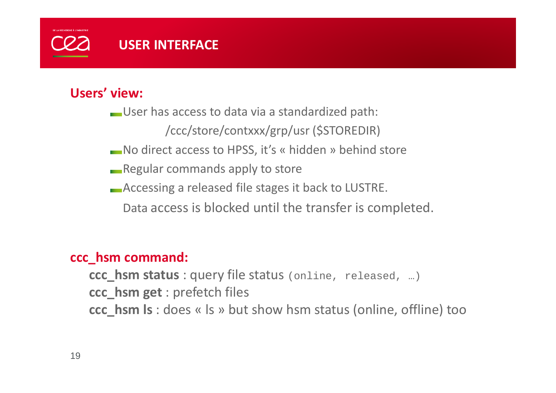### **USER INTERFACE**

#### **Users' view:**

User has access to data via a standardized path:

/ccc/store/contxxx/grp/usr (\$STOREDIR)

No direct access to HPSS, it's « hidden » behind store

**Regular commands apply to store** 

Accessing a released file stages it back to LUSTRE.

Data access is blocked until the transfer is completed.

## **ccc\_hsm command:**

**ccc\_hsm status** : query file status (online, released, …)

**ccc\_hsm get** : prefetch files

**ccc\_hsm ls** : does « ls » but show hsm status (online, offline) too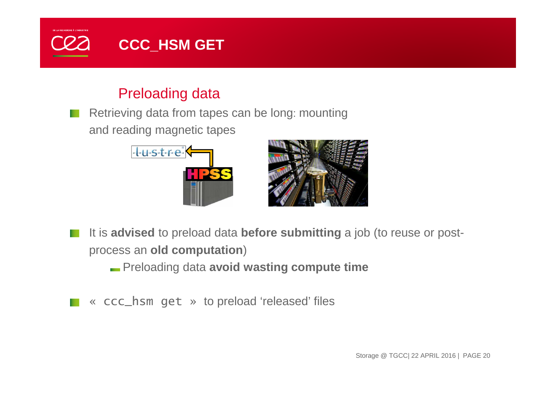

#### Preloading data

Retrieving data from tapes can be long: mountingand reading magnetic tapes





It is **advised** to preload data **before submitting** a job (to reuse or postprocess an **old computation**)

Preloading data **avoid wasting compute time**

« ccc\_hsm get » to preload 'released' files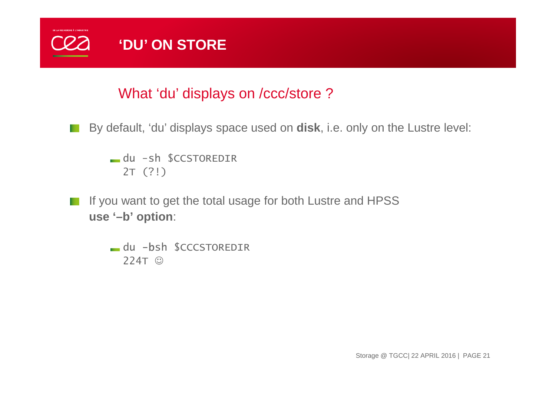

#### What 'du' displays on /ccc/store ?

By default, 'du' displays space used on **disk**, i.e. only on the Lustre level:

du -sh \$CCSTOREDIR2T (?!)

If you want to get the total usage for both Lustre and HPSS**use '–b' option**:

> du -bsh \$CCCSTOREDIR224T ©

> > Storage @ TGCC| 22 APRIL 2016 | PAGE 21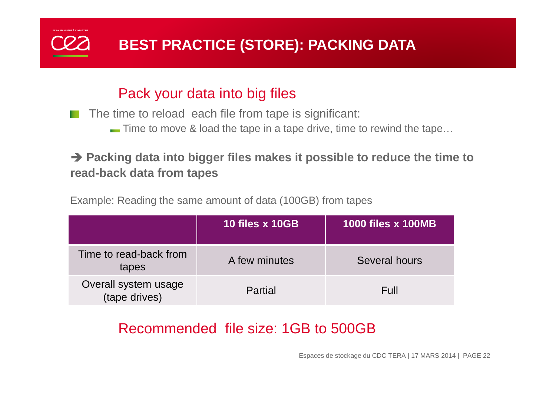

#### Pack your data into big files

The time to reload each file from tape is significant:

Time to move & load the tape in a tape drive, time to rewind the tape...

#### ◆ Packing data into bigger files makes it possible to reduce the time to read-back data from tanes **read-back data from tapes**

Example: Reading the same amount of data (100GB) from tapes

|                                       | 10 files x 10GB | <b>1000 files x 100MB</b> |
|---------------------------------------|-----------------|---------------------------|
| Time to read-back from<br>tapes       | A few minutes   | Several hours             |
| Overall system usage<br>(tape drives) | Partial         | Full                      |

### Recommended file size: 1GB to 500GB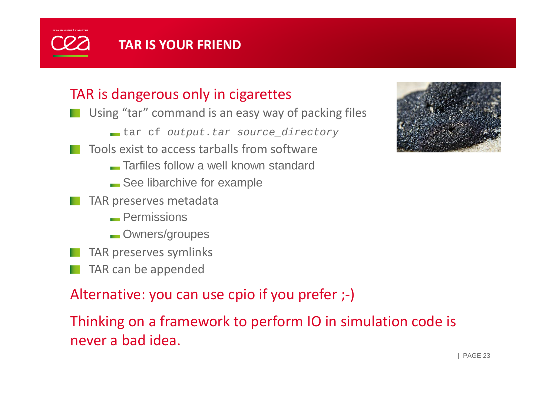### **TAR IS YOUR FRIEND**

#### TAR is dangerous only in cigarettes

- Using "tar" command is an easy way of packing files
	- tar cf *output.tar source\_directory*
	- Tools exist to access tarballs from software
		- Tarfiles follow a well known standard
		- See libarchive for example
	- TAR preserves metadata
		- Permissions
		- **Owners/groupes**
- TAR preserves symlinks
- TAR can be appended

Alternative: you can use cpio if you prefer ;-)

Thinking on a framework to perform IO in simulation code is never a bad idea.

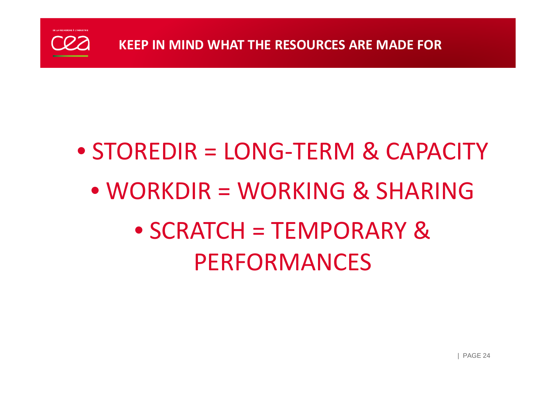

# • STOREDIR = LONG-TERM & CAPACITY

• WORKDIR = WORKING & SHARING• SCRATCH = TEMPORARY & PERFORMANCES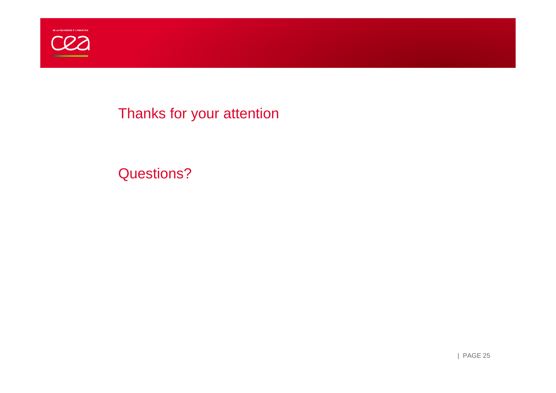

#### Thanks for your attention

#### Questions?